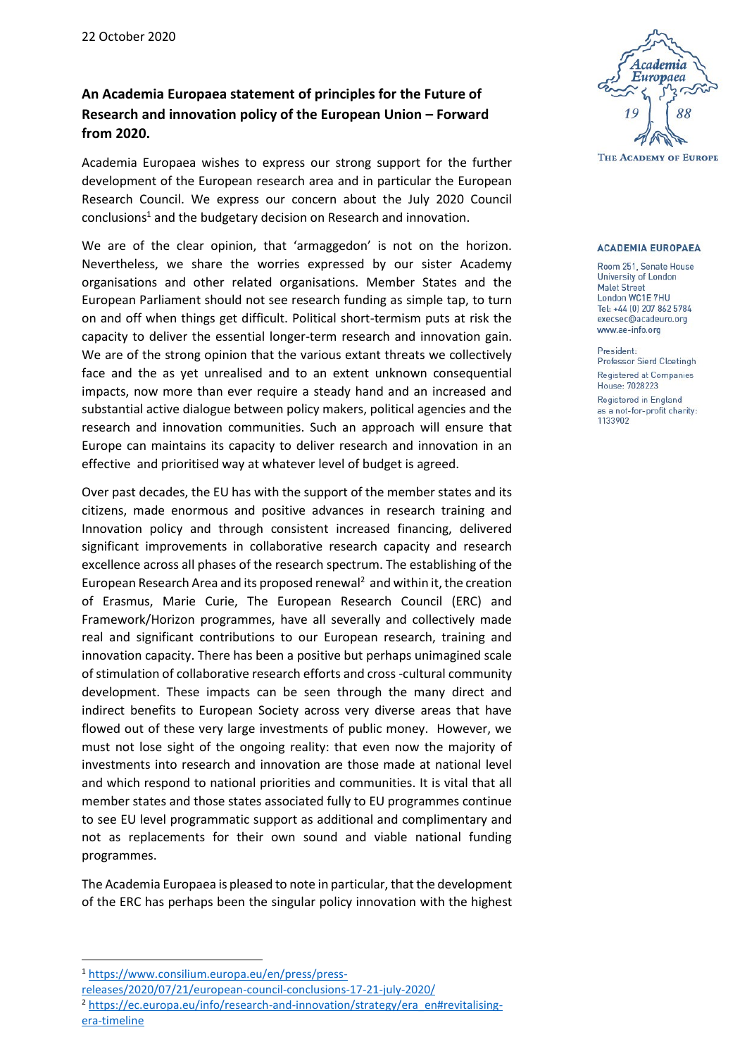## **An Academia Europaea statement of principles for the Future of Research and innovation policy of the European Union – Forward from 2020.**

Academia Europaea wishes to express our strong support for the further development of the European research area and in particular the European Research Council. We express our concern about the July 2020 Council  $condusions<sup>1</sup>$  and the budgetary decision on Research and innovation.

We are of the clear opinion, that 'armaggedon' is not on the horizon. Nevertheless, we share the worries expressed by our sister Academy organisations and other related organisations. Member States and the European Parliament should not see research funding as simple tap, to turn on and off when things get difficult. Political short-termism puts at risk the capacity to deliver the essential longer-term research and innovation gain. We are of the strong opinion that the various extant threats we collectively face and the as yet unrealised and to an extent unknown consequential impacts, now more than ever require a steady hand and an increased and substantial active dialogue between policy makers, political agencies and the research and innovation communities. Such an approach will ensure that Europe can maintains its capacity to deliver research and innovation in an effective and prioritised way at whatever level of budget is agreed.

Over past decades, the EU has with the support of the member states and its citizens, made enormous and positive advances in research training and Innovation policy and through consistent increased financing, delivered significant improvements in collaborative research capacity and research excellence across all phases of the research spectrum. The establishing of the European Research Area and its proposed renewal<sup>2</sup> and within it, the creation of Erasmus, Marie Curie, The European Research Council (ERC) and Framework/Horizon programmes, have all severally and collectively made real and significant contributions to our European research, training and innovation capacity. There has been a positive but perhaps unimagined scale of stimulation of collaborative research efforts and cross -cultural community development. These impacts can be seen through the many direct and indirect benefits to European Society across very diverse areas that have flowed out of these very large investments of public money. However, we must not lose sight of the ongoing reality: that even now the majority of investments into research and innovation are those made at national level and which respond to national priorities and communities. It is vital that all member states and those states associated fully to EU programmes continue to see EU level programmatic support as additional and complimentary and not as replacements for their own sound and viable national funding programmes.

The Academia Europaea is pleased to note in particular, that the development of the ERC has perhaps been the singular policy innovation with the highest

 $\overline{a}$ 



## **ACADEMIA EUROPAEA**

Room 251, Senate House University of London **Malet Street** London WC1E 7HU Tel: +44 (0) 207 862 5784 execsec@acadeuro.org www.ae-info.org

President: Professor Sierd Cloetingh Registered at Companies House: 7028223 Registered in England as a not-for-profit charity: 1133902

<sup>1</sup> [https://www.consilium.europa.eu/en/press/press-](https://www.consilium.europa.eu/en/press/press-releases/2020/07/21/european-council-conclusions-17-21-july-2020/)

[releases/2020/07/21/european-council-conclusions-17-21-july-2020/](https://www.consilium.europa.eu/en/press/press-releases/2020/07/21/european-council-conclusions-17-21-july-2020/)

<sup>&</sup>lt;sup>2</sup> [https://ec.europa.eu/info/research-and-innovation/strategy/era\\_en#revitalising](https://ec.europa.eu/info/research-and-innovation/strategy/era_en#revitalising-era-timeline)[era-timeline](https://ec.europa.eu/info/research-and-innovation/strategy/era_en#revitalising-era-timeline)